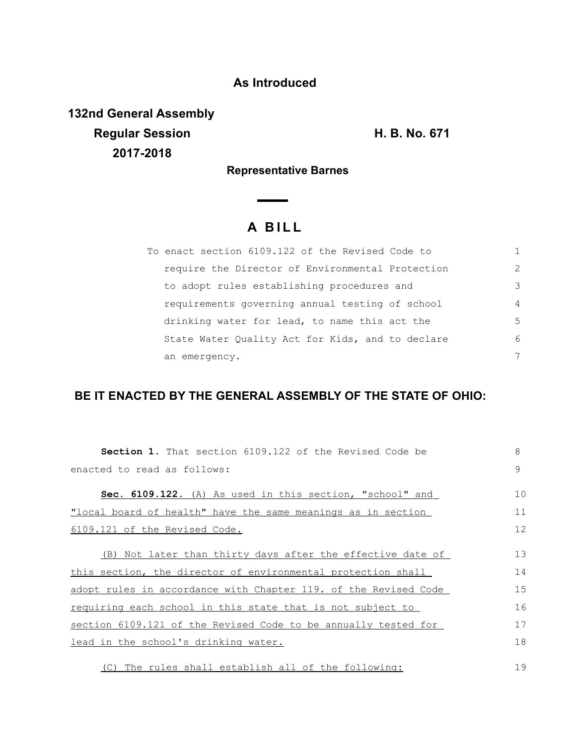## **As Introduced**

**132nd General Assembly Regular Session H. B. No. 671 2017-2018**

**Representative Barnes**

## **A B I L L**

| To enact section 6109.122 of the Revised Code to |                |
|--------------------------------------------------|----------------|
| require the Director of Environmental Protection | $\mathcal{P}$  |
| to adopt rules establishing procedures and       | 3              |
| requirements governing annual testing of school  | $\overline{4}$ |
| drinking water for lead, to name this act the    | 5              |
| State Water Quality Act for Kids, and to declare | 6              |
| an emergency.                                    | 7              |

## **BE IT ENACTED BY THE GENERAL ASSEMBLY OF THE STATE OF OHIO:**

| <b>Section 1.</b> That section 6109.122 of the Revised Code be  | 8  |
|-----------------------------------------------------------------|----|
| enacted to read as follows:                                     | 9  |
| Sec. 6109.122. (A) As used in this section, "school" and        | 10 |
| "local board of health" have the same meanings as in section    | 11 |
| 6109.121 of the Revised Code.                                   | 12 |
| (B) Not later than thirty days after the effective date of      | 13 |
| this section, the director of environmental protection shall    | 14 |
| adopt rules in accordance with Chapter 119. of the Revised Code | 15 |
| requiring each school in this state that is not subject to      | 16 |
| section 6109.121 of the Revised Code to be annually tested for  | 17 |
| lead in the school's drinking water.                            | 18 |
| (C) The rules shall establish all of the following:             | 19 |